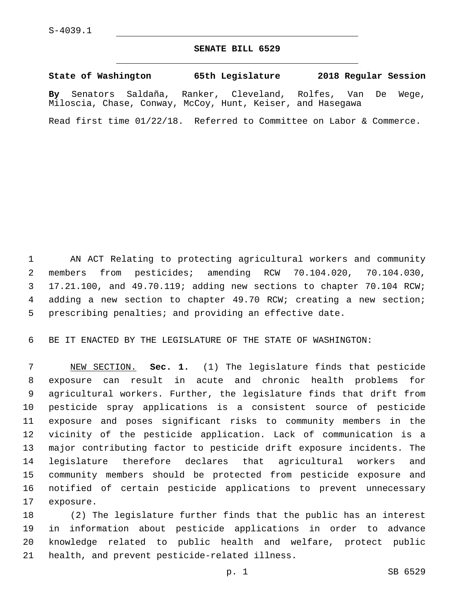## **SENATE BILL 6529**

**State of Washington 65th Legislature 2018 Regular Session**

**By** Senators Saldaña, Ranker, Cleveland, Rolfes, Van De Wege, Miloscia, Chase, Conway, McCoy, Hunt, Keiser, and Hasegawa

Read first time 01/22/18. Referred to Committee on Labor & Commerce.

 AN ACT Relating to protecting agricultural workers and community members from pesticides; amending RCW 70.104.020, 70.104.030, 17.21.100, and 49.70.119; adding new sections to chapter 70.104 RCW; 4 adding a new section to chapter 49.70 RCW; creating a new section; prescribing penalties; and providing an effective date.

BE IT ENACTED BY THE LEGISLATURE OF THE STATE OF WASHINGTON:

 NEW SECTION. **Sec. 1.** (1) The legislature finds that pesticide exposure can result in acute and chronic health problems for agricultural workers. Further, the legislature finds that drift from pesticide spray applications is a consistent source of pesticide exposure and poses significant risks to community members in the vicinity of the pesticide application. Lack of communication is a major contributing factor to pesticide drift exposure incidents. The legislature therefore declares that agricultural workers and community members should be protected from pesticide exposure and notified of certain pesticide applications to prevent unnecessary exposure.

 (2) The legislature further finds that the public has an interest in information about pesticide applications in order to advance knowledge related to public health and welfare, protect public 21 health, and prevent pesticide-related illness.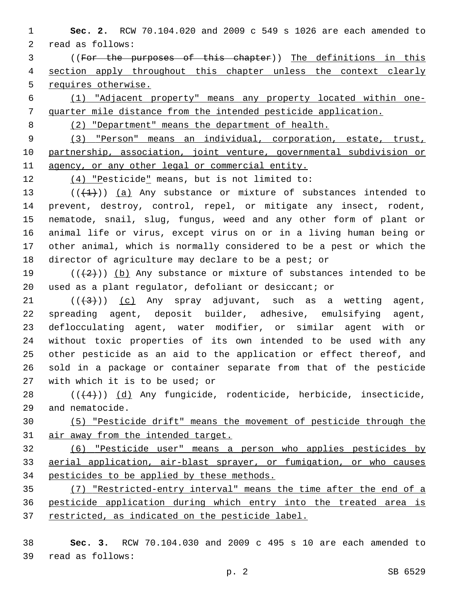- **Sec. 2.** RCW 70.104.020 and 2009 c 549 s 1026 are each amended to 2 read as follows:
- ((For the purposes of this chapter)) The definitions in this section apply throughout this chapter unless the context clearly requires otherwise.
- (1) "Adjacent property" means any property located within one-quarter mile distance from the intended pesticide application.
- 

(2) "Department" means the department of health.

 (3) "Person" means an individual, corporation, estate, trust, partnership, association, joint venture, governmental subdivision or 11 agency, or any other legal or commercial entity.

12 (4) "Pesticide" means, but is not limited to:

 $((+1))$   $(a)$  Any substance or mixture of substances intended to prevent, destroy, control, repel, or mitigate any insect, rodent, nematode, snail, slug, fungus, weed and any other form of plant or animal life or virus, except virus on or in a living human being or other animal, which is normally considered to be a pest or which the director of agriculture may declare to be a pest; or

19 ( $(\frac{2}{2})$ ) (b) Any substance or mixture of substances intended to be used as a plant regulator, defoliant or desiccant; or

- $((+3))$   $(c)$  Any spray adjuvant, such as a wetting agent, spreading agent, deposit builder, adhesive, emulsifying agent, deflocculating agent, water modifier, or similar agent with or without toxic properties of its own intended to be used with any other pesticide as an aid to the application or effect thereof, and sold in a package or container separate from that of the pesticide 27 with which it is to be used; or
- ( $(44)$ )) (d) Any fungicide, rodenticide, herbicide, insecticide, 29 and nematocide.
- (5) "Pesticide drift" means the movement of pesticide through the air away from the intended target.
- (6) "Pesticide user" means a person who applies pesticides by aerial application, air-blast sprayer, or fumigation, or who causes pesticides to be applied by these methods.
- (7) "Restricted-entry interval" means the time after the end of a pesticide application during which entry into the treated area is restricted, as indicated on the pesticide label.
- **Sec. 3.** RCW 70.104.030 and 2009 c 495 s 10 are each amended to read as follows:39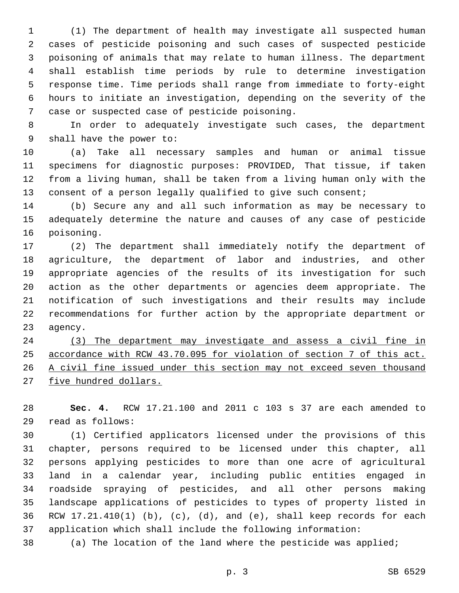(1) The department of health may investigate all suspected human cases of pesticide poisoning and such cases of suspected pesticide poisoning of animals that may relate to human illness. The department shall establish time periods by rule to determine investigation response time. Time periods shall range from immediate to forty-eight hours to initiate an investigation, depending on the severity of the 7 case or suspected case of pesticide poisoning.

 In order to adequately investigate such cases, the department 9 shall have the power to:

 (a) Take all necessary samples and human or animal tissue specimens for diagnostic purposes: PROVIDED, That tissue, if taken from a living human, shall be taken from a living human only with the 13 consent of a person legally qualified to give such consent;

 (b) Secure any and all such information as may be necessary to adequately determine the nature and causes of any case of pesticide 16 poisoning.

 (2) The department shall immediately notify the department of agriculture, the department of labor and industries, and other appropriate agencies of the results of its investigation for such action as the other departments or agencies deem appropriate. The notification of such investigations and their results may include recommendations for further action by the appropriate department or 23 agency.

 (3) The department may investigate and assess a civil fine in accordance with RCW 43.70.095 for violation of section 7 of this act. A civil fine issued under this section may not exceed seven thousand five hundred dollars.

 **Sec. 4.** RCW 17.21.100 and 2011 c 103 s 37 are each amended to read as follows:29

 (1) Certified applicators licensed under the provisions of this chapter, persons required to be licensed under this chapter, all persons applying pesticides to more than one acre of agricultural land in a calendar year, including public entities engaged in roadside spraying of pesticides, and all other persons making landscape applications of pesticides to types of property listed in RCW 17.21.410(1) (b), (c), (d), and (e), shall keep records for each application which shall include the following information:

(a) The location of the land where the pesticide was applied;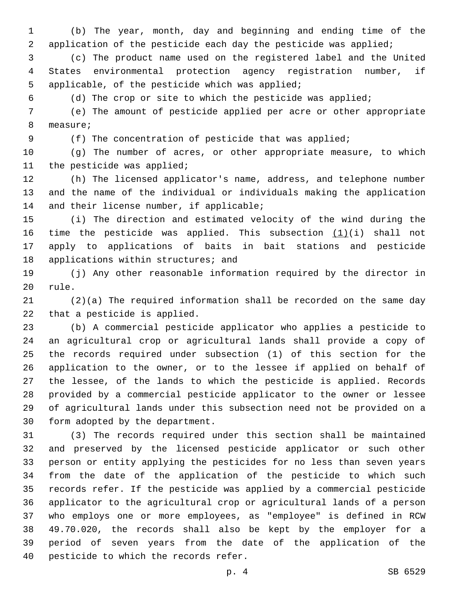(b) The year, month, day and beginning and ending time of the application of the pesticide each day the pesticide was applied;

 (c) The product name used on the registered label and the United States environmental protection agency registration number, if 5 applicable, of the pesticide which was applied;

(d) The crop or site to which the pesticide was applied;

 (e) The amount of pesticide applied per acre or other appropriate 8 measure;

(f) The concentration of pesticide that was applied;

 (g) The number of acres, or other appropriate measure, to which 11 the pesticide was applied;

 (h) The licensed applicator's name, address, and telephone number and the name of the individual or individuals making the application 14 and their license number, if applicable;

 (i) The direction and estimated velocity of the wind during the 16 time the pesticide was applied. This subsection  $(1)(i)$  shall not apply to applications of baits in bait stations and pesticide 18 applications within structures; and

 (j) Any other reasonable information required by the director in 20 rule.

 (2)(a) The required information shall be recorded on the same day 22 that a pesticide is applied.

 (b) A commercial pesticide applicator who applies a pesticide to an agricultural crop or agricultural lands shall provide a copy of the records required under subsection (1) of this section for the application to the owner, or to the lessee if applied on behalf of the lessee, of the lands to which the pesticide is applied. Records provided by a commercial pesticide applicator to the owner or lessee of agricultural lands under this subsection need not be provided on a 30 form adopted by the department.

 (3) The records required under this section shall be maintained and preserved by the licensed pesticide applicator or such other person or entity applying the pesticides for no less than seven years from the date of the application of the pesticide to which such records refer. If the pesticide was applied by a commercial pesticide applicator to the agricultural crop or agricultural lands of a person who employs one or more employees, as "employee" is defined in RCW 49.70.020, the records shall also be kept by the employer for a period of seven years from the date of the application of the 40 pesticide to which the records refer.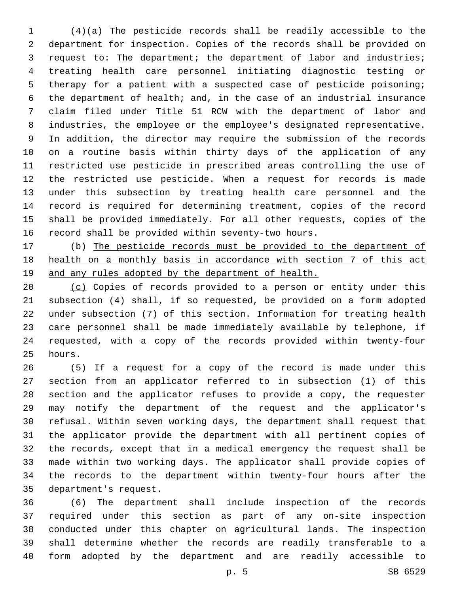(4)(a) The pesticide records shall be readily accessible to the department for inspection. Copies of the records shall be provided on request to: The department; the department of labor and industries; treating health care personnel initiating diagnostic testing or therapy for a patient with a suspected case of pesticide poisoning; the department of health; and, in the case of an industrial insurance claim filed under Title 51 RCW with the department of labor and industries, the employee or the employee's designated representative. In addition, the director may require the submission of the records on a routine basis within thirty days of the application of any restricted use pesticide in prescribed areas controlling the use of the restricted use pesticide. When a request for records is made under this subsection by treating health care personnel and the record is required for determining treatment, copies of the record shall be provided immediately. For all other requests, copies of the record shall be provided within seventy-two hours.

 (b) The pesticide records must be provided to the department of health on a monthly basis in accordance with section 7 of this act 19 and any rules adopted by the department of health.

 (c) Copies of records provided to a person or entity under this subsection (4) shall, if so requested, be provided on a form adopted under subsection (7) of this section. Information for treating health care personnel shall be made immediately available by telephone, if requested, with a copy of the records provided within twenty-four 25 hours.

 (5) If a request for a copy of the record is made under this section from an applicator referred to in subsection (1) of this section and the applicator refuses to provide a copy, the requester may notify the department of the request and the applicator's refusal. Within seven working days, the department shall request that the applicator provide the department with all pertinent copies of the records, except that in a medical emergency the request shall be made within two working days. The applicator shall provide copies of the records to the department within twenty-four hours after the 35 department's request.

 (6) The department shall include inspection of the records required under this section as part of any on-site inspection conducted under this chapter on agricultural lands. The inspection shall determine whether the records are readily transferable to a form adopted by the department and are readily accessible to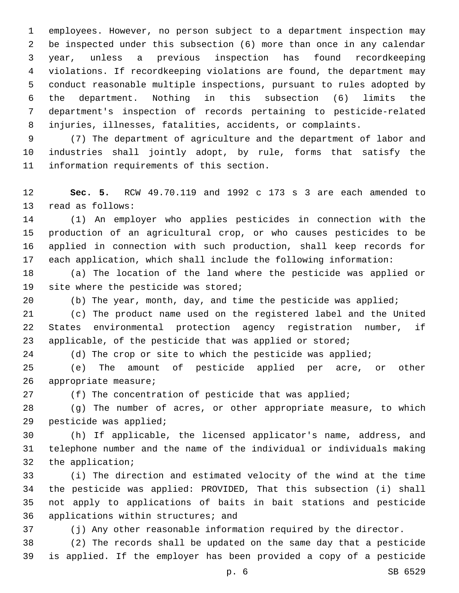employees. However, no person subject to a department inspection may be inspected under this subsection (6) more than once in any calendar year, unless a previous inspection has found recordkeeping violations. If recordkeeping violations are found, the department may conduct reasonable multiple inspections, pursuant to rules adopted by the department. Nothing in this subsection (6) limits the department's inspection of records pertaining to pesticide-related injuries, illnesses, fatalities, accidents, or complaints.

 (7) The department of agriculture and the department of labor and industries shall jointly adopt, by rule, forms that satisfy the 11 information requirements of this section.

 **Sec. 5.** RCW 49.70.119 and 1992 c 173 s 3 are each amended to 13 read as follows:

 (1) An employer who applies pesticides in connection with the production of an agricultural crop, or who causes pesticides to be applied in connection with such production, shall keep records for each application, which shall include the following information:

 (a) The location of the land where the pesticide was applied or 19 site where the pesticide was stored;

(b) The year, month, day, and time the pesticide was applied;

 (c) The product name used on the registered label and the United States environmental protection agency registration number, if applicable, of the pesticide that was applied or stored;

24 (d) The crop or site to which the pesticide was applied;

 (e) The amount of pesticide applied per acre, or other 26 appropriate measure;

27 (f) The concentration of pesticide that was applied;

 (g) The number of acres, or other appropriate measure, to which 29 pesticide was applied;

 (h) If applicable, the licensed applicator's name, address, and telephone number and the name of the individual or individuals making 32 the application;

 (i) The direction and estimated velocity of the wind at the time the pesticide was applied: PROVIDED, That this subsection (i) shall not apply to applications of baits in bait stations and pesticide 36 applications within structures; and

(j) Any other reasonable information required by the director.

 (2) The records shall be updated on the same day that a pesticide is applied. If the employer has been provided a copy of a pesticide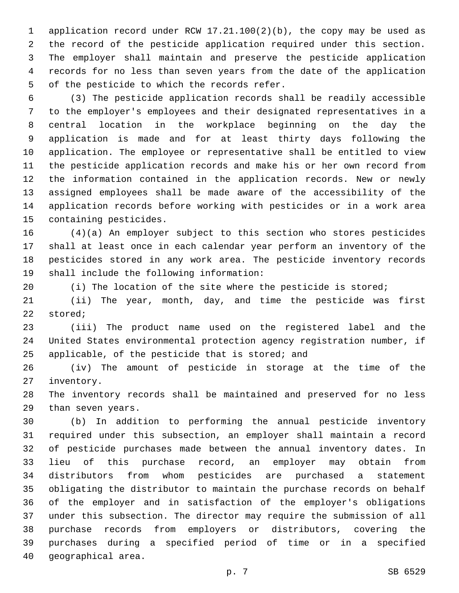application record under RCW 17.21.100(2)(b), the copy may be used as the record of the pesticide application required under this section. The employer shall maintain and preserve the pesticide application records for no less than seven years from the date of the application 5 of the pesticide to which the records refer.

 (3) The pesticide application records shall be readily accessible to the employer's employees and their designated representatives in a central location in the workplace beginning on the day the application is made and for at least thirty days following the application. The employee or representative shall be entitled to view the pesticide application records and make his or her own record from the information contained in the application records. New or newly assigned employees shall be made aware of the accessibility of the application records before working with pesticides or in a work area 15 containing pesticides.

 (4)(a) An employer subject to this section who stores pesticides shall at least once in each calendar year perform an inventory of the pesticides stored in any work area. The pesticide inventory records 19 shall include the following information:

20 (i) The location of the site where the pesticide is stored;

 (ii) The year, month, day, and time the pesticide was first 22 stored;

 (iii) The product name used on the registered label and the United States environmental protection agency registration number, if 25 applicable, of the pesticide that is stored; and

 (iv) The amount of pesticide in storage at the time of the 27 inventory.

 The inventory records shall be maintained and preserved for no less 29 than seven years.

 (b) In addition to performing the annual pesticide inventory required under this subsection, an employer shall maintain a record of pesticide purchases made between the annual inventory dates. In lieu of this purchase record, an employer may obtain from distributors from whom pesticides are purchased a statement obligating the distributor to maintain the purchase records on behalf of the employer and in satisfaction of the employer's obligations under this subsection. The director may require the submission of all purchase records from employers or distributors, covering the purchases during a specified period of time or in a specified 40 qeographical area.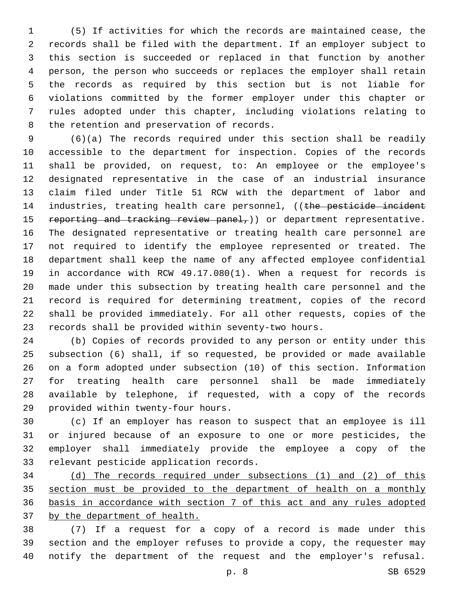(5) If activities for which the records are maintained cease, the records shall be filed with the department. If an employer subject to this section is succeeded or replaced in that function by another person, the person who succeeds or replaces the employer shall retain the records as required by this section but is not liable for violations committed by the former employer under this chapter or rules adopted under this chapter, including violations relating to 8 the retention and preservation of records.

 (6)(a) The records required under this section shall be readily accessible to the department for inspection. Copies of the records shall be provided, on request, to: An employee or the employee's designated representative in the case of an industrial insurance claim filed under Title 51 RCW with the department of labor and 14 industries, treating health care personnel, ((the pesticide incident 15 reporting and tracking review panel,) or department representative. The designated representative or treating health care personnel are not required to identify the employee represented or treated. The department shall keep the name of any affected employee confidential in accordance with RCW 49.17.080(1). When a request for records is made under this subsection by treating health care personnel and the record is required for determining treatment, copies of the record shall be provided immediately. For all other requests, copies of the records shall be provided within seventy-two hours.

 (b) Copies of records provided to any person or entity under this subsection (6) shall, if so requested, be provided or made available on a form adopted under subsection (10) of this section. Information for treating health care personnel shall be made immediately available by telephone, if requested, with a copy of the records 29 provided within twenty-four hours.

 (c) If an employer has reason to suspect that an employee is ill or injured because of an exposure to one or more pesticides, the employer shall immediately provide the employee a copy of the 33 relevant pesticide application records.

 (d) The records required under subsections (1) and (2) of this section must be provided to the department of health on a monthly basis in accordance with section 7 of this act and any rules adopted by the department of health.

 (7) If a request for a copy of a record is made under this section and the employer refuses to provide a copy, the requester may notify the department of the request and the employer's refusal.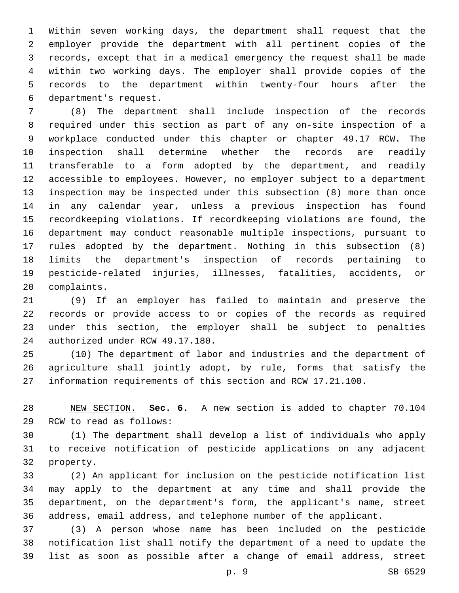Within seven working days, the department shall request that the employer provide the department with all pertinent copies of the records, except that in a medical emergency the request shall be made within two working days. The employer shall provide copies of the records to the department within twenty-four hours after the department's request.6

 (8) The department shall include inspection of the records required under this section as part of any on-site inspection of a workplace conducted under this chapter or chapter 49.17 RCW. The inspection shall determine whether the records are readily transferable to a form adopted by the department, and readily accessible to employees. However, no employer subject to a department inspection may be inspected under this subsection (8) more than once in any calendar year, unless a previous inspection has found recordkeeping violations. If recordkeeping violations are found, the department may conduct reasonable multiple inspections, pursuant to rules adopted by the department. Nothing in this subsection (8) limits the department's inspection of records pertaining to pesticide-related injuries, illnesses, fatalities, accidents, or 20 complaints.

 (9) If an employer has failed to maintain and preserve the records or provide access to or copies of the records as required under this section, the employer shall be subject to penalties 24 authorized under RCW 49.17.180.

 (10) The department of labor and industries and the department of agriculture shall jointly adopt, by rule, forms that satisfy the information requirements of this section and RCW 17.21.100.

 NEW SECTION. **Sec. 6.** A new section is added to chapter 70.104 29 RCW to read as follows:

 (1) The department shall develop a list of individuals who apply to receive notification of pesticide applications on any adjacent 32 property.

 (2) An applicant for inclusion on the pesticide notification list may apply to the department at any time and shall provide the department, on the department's form, the applicant's name, street address, email address, and telephone number of the applicant.

 (3) A person whose name has been included on the pesticide notification list shall notify the department of a need to update the list as soon as possible after a change of email address, street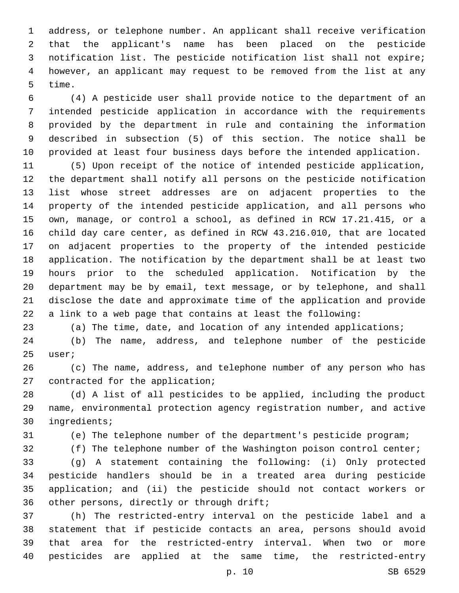address, or telephone number. An applicant shall receive verification that the applicant's name has been placed on the pesticide notification list. The pesticide notification list shall not expire; however, an applicant may request to be removed from the list at any 5 time.

 (4) A pesticide user shall provide notice to the department of an intended pesticide application in accordance with the requirements provided by the department in rule and containing the information described in subsection (5) of this section. The notice shall be provided at least four business days before the intended application.

 (5) Upon receipt of the notice of intended pesticide application, the department shall notify all persons on the pesticide notification list whose street addresses are on adjacent properties to the property of the intended pesticide application, and all persons who own, manage, or control a school, as defined in RCW 17.21.415, or a child day care center, as defined in RCW 43.216.010, that are located on adjacent properties to the property of the intended pesticide application. The notification by the department shall be at least two hours prior to the scheduled application. Notification by the department may be by email, text message, or by telephone, and shall disclose the date and approximate time of the application and provide a link to a web page that contains at least the following:

(a) The time, date, and location of any intended applications;

 (b) The name, address, and telephone number of the pesticide 25 user;

 (c) The name, address, and telephone number of any person who has 27 contracted for the application;

 (d) A list of all pesticides to be applied, including the product name, environmental protection agency registration number, and active 30 ingredients;

(e) The telephone number of the department's pesticide program;

32 (f) The telephone number of the Washington poison control center;

 (g) A statement containing the following: (i) Only protected pesticide handlers should be in a treated area during pesticide application; and (ii) the pesticide should not contact workers or 36 other persons, directly or through drift;

 (h) The restricted-entry interval on the pesticide label and a statement that if pesticide contacts an area, persons should avoid that area for the restricted-entry interval. When two or more pesticides are applied at the same time, the restricted-entry